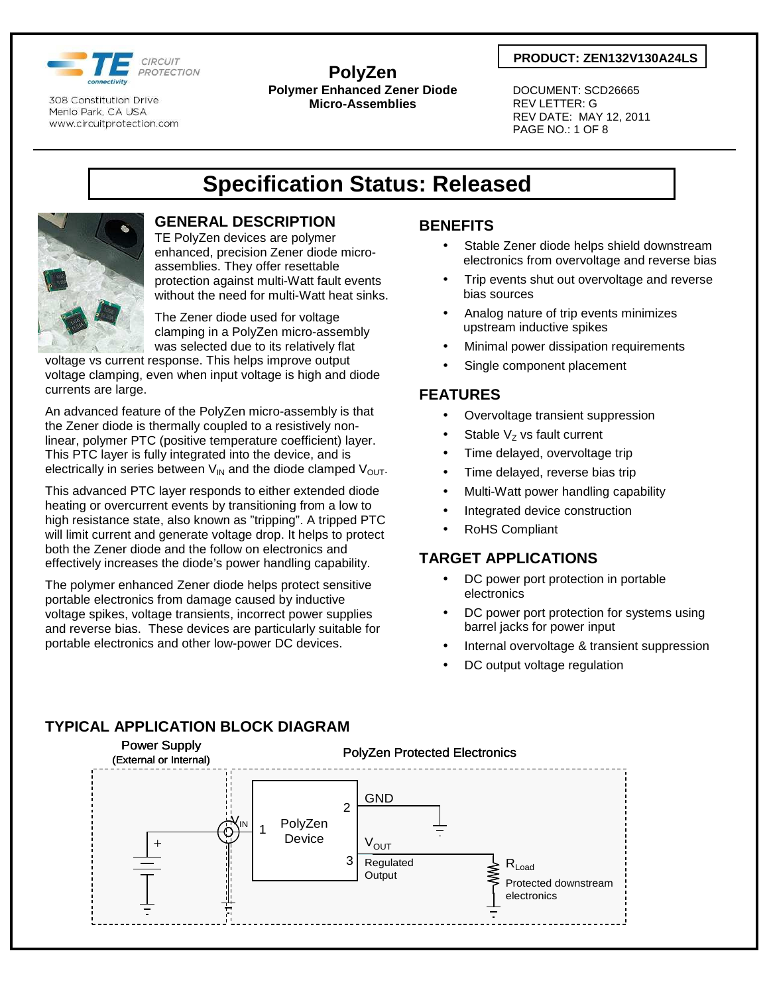

**PolyZen Polymer Enhanced Zener Diode Micro-Assemblies** 

### **PRODUCT: ZEN132V130A24LS**

 DOCUMENT: SCD26665 REV LETTER: G REV DATE: MAY 12, 2011 PAGE NO.: 1 OF 8

# **Specification Status: Released**



## **GENERAL DESCRIPTION**

TE PolyZen devices are polymer enhanced, precision Zener diode microassemblies. They offer resettable protection against multi-Watt fault events without the need for multi-Watt heat sinks.

The Zener diode used for voltage clamping in a PolyZen micro-assembly was selected due to its relatively flat

voltage vs current response. This helps improve output voltage clamping, even when input voltage is high and diode currents are large.

An advanced feature of the PolyZen micro-assembly is that the Zener diode is thermally coupled to a resistively nonlinear, polymer PTC (positive temperature coefficient) layer. This PTC layer is fully integrated into the device, and is electrically in series between  $V_{IN}$  and the diode clamped  $V_{OUT}$ .

This advanced PTC layer responds to either extended diode heating or overcurrent events by transitioning from a low to high resistance state, also known as "tripping". A tripped PTC will limit current and generate voltage drop. It helps to protect both the Zener diode and the follow on electronics and effectively increases the diode's power handling capability.

The polymer enhanced Zener diode helps protect sensitive portable electronics from damage caused by inductive voltage spikes, voltage transients, incorrect power supplies and reverse bias. These devices are particularly suitable for portable electronics and other low-power DC devices.

## **BENEFITS**

- Stable Zener diode helps shield downstream electronics from overvoltage and reverse bias
- Trip events shut out overvoltage and reverse bias sources
- Analog nature of trip events minimizes upstream inductive spikes
- Minimal power dissipation requirements
- Single component placement

### **FEATURES**

- Overvoltage transient suppression
- Stable  $V_Z$  vs fault current
- Time delayed, overvoltage trip
- Time delayed, reverse bias trip
- Multi-Watt power handling capability
- Integrated device construction
- RoHS Compliant

## **TARGET APPLICATIONS**

- DC power port protection in portable electronics
- DC power port protection for systems using barrel jacks for power input
- Internal overvoltage & transient suppression
- DC output voltage regulation

## **TYPICAL APPLICATION BLOCK DIAGRAM**

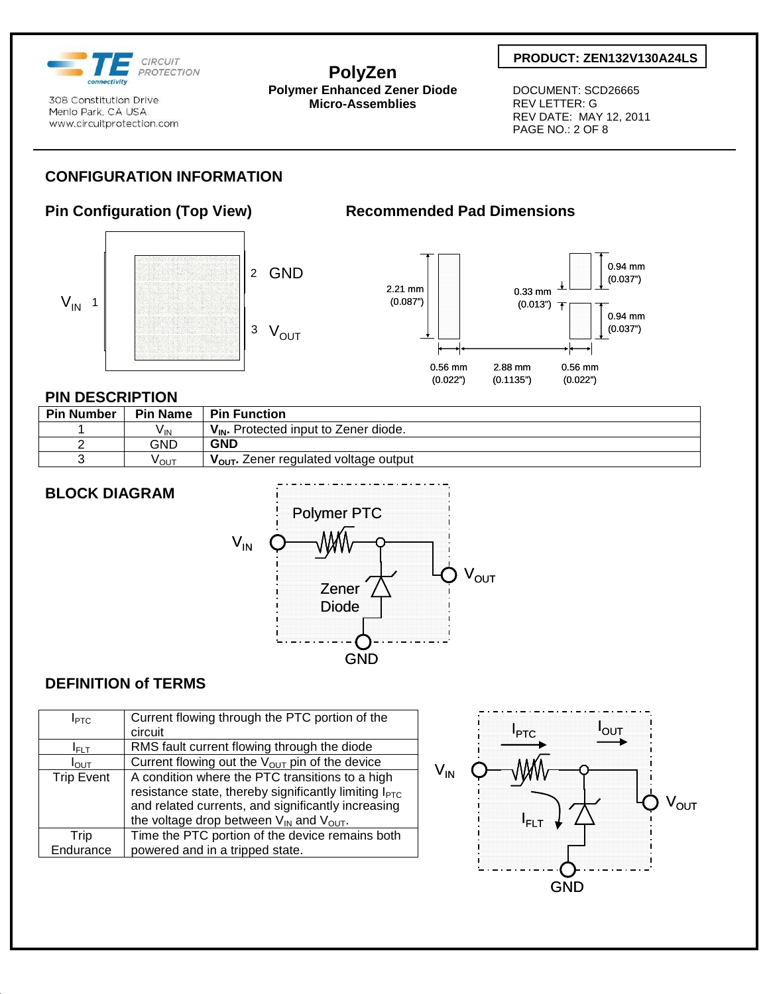

**PolyZen Polymer Enhanced Zener Diode Micro-Assemblies** 

### **PRODUCT: ZEN132V130A24LS**

 DOCUMENT: SCD26665 REV LETTER: G REV DATE: MAY 12, 2011 PAGE NO.: 2 OF 8

## **CONFIGURATION INFORMATION**

## **Pin Configuration (Top View) Recommended Pad Dimensions**





### **PIN DESCRIPTION**

| <b>Pin Number</b> | <b>Pin Name</b>   | <b>Pin Function</b>                               |
|-------------------|-------------------|---------------------------------------------------|
|                   | $V_{\mathsf{IN}}$ | $V_{IN}$ . Protected input to Zener diode.        |
|                   | GND               | <b>GND</b>                                        |
|                   | νου⊤              | V <sub>OUT</sub> . Zener regulated voltage output |

## **BLOCK DIAGRAM**



### **DEFINITION of TERMS**

| I <sub>PTC</sub>  | Current flowing through the PTC portion of the                    |
|-------------------|-------------------------------------------------------------------|
|                   | circuit                                                           |
| I <sub>ELT</sub>  | RMS fault current flowing through the diode                       |
| $I_{\text{OUT}}$  | Current flowing out the $V_{OUT}$ pin of the device               |
| <b>Trip Event</b> | A condition where the PTC transitions to a high                   |
|                   | resistance state, thereby significantly limiting I <sub>PTC</sub> |
|                   | and related currents, and significantly increasing                |
|                   | the voltage drop between $V_{IN}$ and $V_{OUT}$ .                 |
| Trip              | Time the PTC portion of the device remains both                   |
| Endurance         | powered and in a tripped state.                                   |

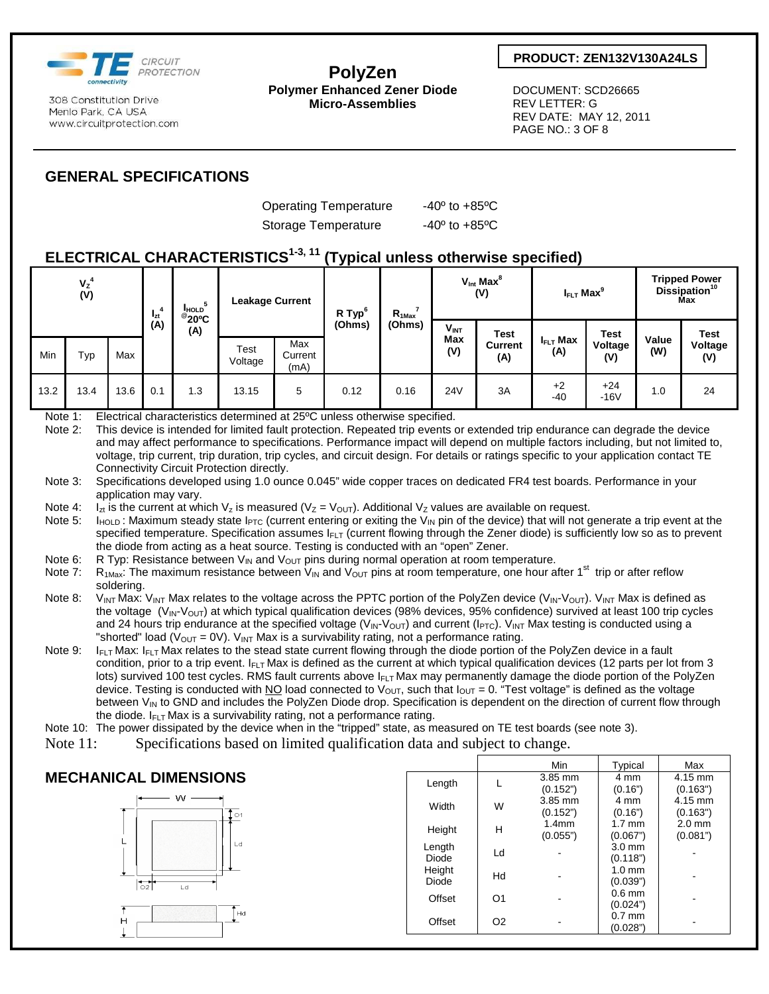

**PolyZen Polymer Enhanced Zener Diode Micro-Assemblies** 

### **PRODUCT: ZEN132V130A24LS**

 DOCUMENT: SCD26665 REV LETTER: G REV DATE: MAY 12, 2011 PAGE NO.: 3 OF 8

## **GENERAL SPECIFICATIONS**

Operating Temperature -40° to +85°C Storage Temperature -40° to +85°C

## **ELECTRICAL CHARACTERISTICS1-3, 11 (Typical unless otherwise specified)**

| $V_{Z}^{4}$<br>(V) |      | 4<br>$I_{zt}$ | HOLD<br>$^{\circ}$ 20 °C | <b>Leakage Current</b> |                 | R Typ <sup>6</sup>     | $R_{1Max}$ | $V_{\text{int}}$ Max $^8$<br>(V) |                         | $I_{FLT}$ Max <sup>9</sup>           |                             | <b>Tripped Power</b><br>Dissipation <sup>10</sup><br>Мах |              |                        |
|--------------------|------|---------------|--------------------------|------------------------|-----------------|------------------------|------------|----------------------------------|-------------------------|--------------------------------------|-----------------------------|----------------------------------------------------------|--------------|------------------------|
| Min                | Typ  | Max           | (A)                      | (A)                    | Test<br>Voltage | Max<br>Current<br>(mA) | (Ohms)     | (Ohms)                           | $V_{INT}$<br>Max<br>(V) | <b>Test</b><br><b>Current</b><br>(A) | $I_{\text{FLT}}$ Max<br>(A) | <b>Test</b><br>Voltage<br>(V)                            | Value<br>(W) | Test<br>Voltage<br>(V) |
| 13.2               | 13.4 | 13.6          | 0.1                      | 1.3                    | 13.15           | 5                      | 0.12       | 0.16                             | <b>24V</b>              | 3A                                   | $+2$<br>$-40$               | $+24$<br>$-16V$                                          | 1.0          | 24                     |

Note 1: Electrical characteristics determined at 25°C unless otherwise specified.

Note 2: This device is intended for limited fault protection. Repeated trip events or extended trip endurance can degrade the device and may affect performance to specifications. Performance impact will depend on multiple factors including, but not limited to, voltage, trip current, trip duration, trip cycles, and circuit design. For details or ratings specific to your application contact TE Connectivity Circuit Protection directly.

Note 3: Specifications developed using 1.0 ounce 0.045" wide copper traces on dedicated FR4 test boards. Performance in your application may vary.

Note 4: I<sub>zt</sub> is the current at which V<sub>z</sub> is measured (V<sub>Z</sub> = V<sub>OUT</sub>). Additional V<sub>Z</sub> values are available on request.<br>Note 5: I<sub>HOLD</sub>: Maximum steady state I<sub>PTC</sub> (current entering or exiting the V<sub>IN</sub> pin of the devic

 $I_{HOLD}$ : Maximum steady state  $I_{PTC}$  (current entering or exiting the V<sub>IN</sub> pin of the device) that will not generate a trip event at the specified temperature. Specification assumes  $I_{FLT}$  (current flowing through the Zener diode) is sufficiently low so as to prevent the diode from acting as a heat source. Testing is conducted with an "open" Zener.

Note 6: R Typ: Resistance between V<sub>IN</sub> and V<sub>OUT</sub> pins during normal operation at room temperature.<br>Note 7: R<sub>1Max</sub>: The maximum resistance between V<sub>IN</sub> and V<sub>OUT</sub> pins at room temperature, one hour a

- $R_{1\text{Max}}$ : The maximum resistance between  $V_{\text{IN}}$  and  $V_{\text{OUT}}$  pins at room temperature, one hour after 1<sup>st</sup> trip or after reflow soldering.
- Note 8: V<sub>INT</sub> Max: V<sub>INT</sub> Max relates to the voltage across the PPTC portion of the PolyZen device (V<sub>IN</sub>-V<sub>OUT</sub>). V<sub>INT</sub> Max is defined as the voltage  $(V_{\text{IN}}\text{-}V_{\text{OUT}})$  at which typical qualification devices (98% devices, 95% confidence) survived at least 100 trip cycles and 24 hours trip endurance at the specified voltage (V<sub>IN</sub>-V<sub>OUT</sub>) and current (I<sub>PTC</sub>). V<sub>INT</sub> Max testing is conducted using a "shorted" load (V<sub>OUT</sub> = 0V). V<sub>INT</sub> Max is a survivability rating, not a performance rating.
- Note 9: I<sub>FLT</sub> Max: I<sub>FLT</sub> Max relates to the stead state current flowing through the diode portion of the PolyZen device in a fault condition, prior to a trip event.  $I_{FLT}$  Max is defined as the current at which typical qualification devices (12 parts per lot from 3 lots) survived 100 test cycles. RMS fault currents above I<sub>FLT</sub> Max may permanently damage the diode portion of the PolyZen device. Testing is conducted with NO load connected to V<sub>OUT</sub>, such that  $I_{OUT} = 0$ . "Test voltage" is defined as the voltage between  $V_{\text{IN}}$  to GND and includes the PolyZen Diode drop. Specification is dependent on the direction of current flow through the diode.  $I_{FLT}$  Max is a survivability rating, not a performance rating.

Note 10: The power dissipated by the device when in the "tripped" state, as measured on TE test boards (see note 3).

Note 11: Specifications based on limited qualification data and subject to change.

### Min Typical Max **MECHANICAL DIMENSIONS**  Length  $L = \frac{3.85 \text{ mm}}{(9.45 \text{ s})}$ 4 mm 4.15 mm (0.152") (0.16") (0.163") W. Width  $W = \frac{3.85 \text{ mm}}{6.45 \text{ cm}}$ 4 mm 4.15 mm (0.152") (0.16") (0.163")  $\circ$ 1 Height  $H = \begin{bmatrix} 1.4 \text{mm} \\ 0.055 \end{bmatrix}$ 1.7 mm 2.0 mm (0.055") (0.067") (0.081") ı a Length  $(0.118")$ ength Ld - 3.0 mm<br>Diode Ld - (0.118") Height<br>Diode  $(0.039")$ Diode Hd - 1.0 mm  $\overline{51}$ L d Offset 01 -  $0.6$  mm  $(0.024")$ <br> $0.7$  mm Tна Offset O2 - 0.7 mm H  $(0.028")$  -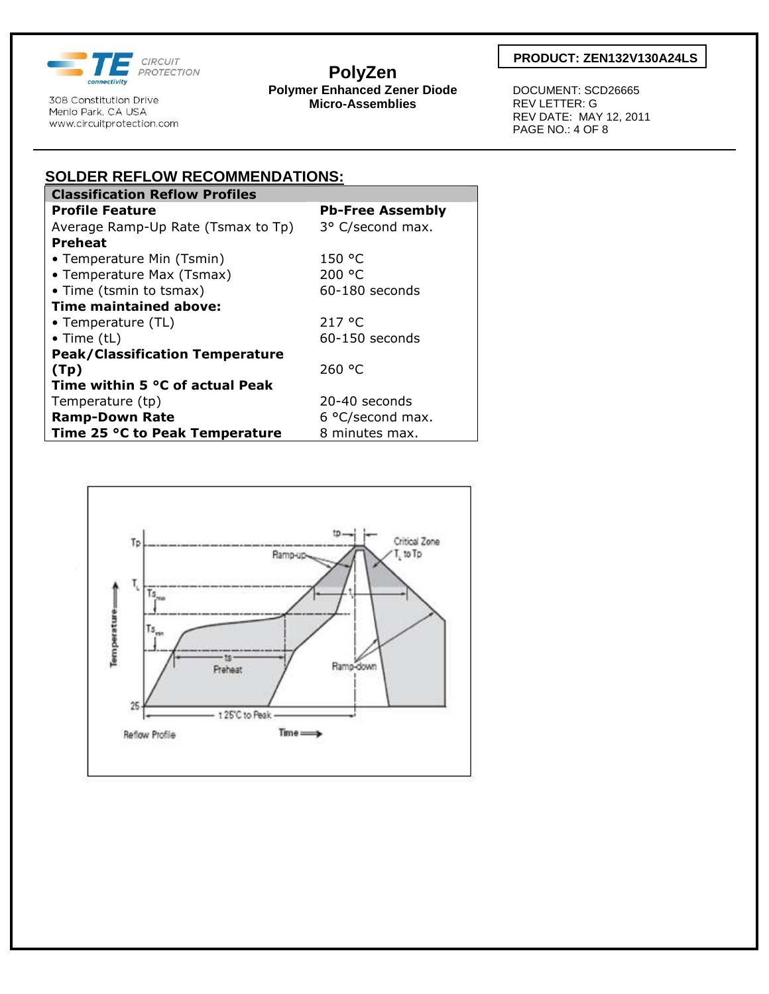

**PolyZen Polymer Enhanced Zener Diode Micro-Assemblies** 

### **PRODUCT: ZEN132V130A24LS**

 DOCUMENT: SCD26665 REV LETTER: G REV DATE: MAY 12, 2011 PAGE NO.: 4 OF 8

| <b>Classification Reflow Profiles</b><br><b>Profile Feature</b><br><b>Pb-Free Assembly</b><br>3° C/second max.<br>Average Ramp-Up Rate (Tsmax to Tp)<br><b>Preheat</b><br>150 °C<br>• Temperature Min (Tsmin)<br>200 °C<br>• Temperature Max (Tsmax)<br>• Time (tsmin to tsmax)<br>$60-180$ seconds<br><b>Time maintained above:</b><br>217 °C<br>• Temperature (TL)<br>$60-150$ seconds<br>$\bullet$ Time (tL)<br><b>Peak/Classification Temperature</b><br>260 °C<br>(Tp)<br>Time within 5 °C of actual Peak<br>20-40 seconds<br>Temperature (tp) | SOLDER REFLOW RECOMMENDATIONS: |                  |  |  |  |
|-----------------------------------------------------------------------------------------------------------------------------------------------------------------------------------------------------------------------------------------------------------------------------------------------------------------------------------------------------------------------------------------------------------------------------------------------------------------------------------------------------------------------------------------------------|--------------------------------|------------------|--|--|--|
|                                                                                                                                                                                                                                                                                                                                                                                                                                                                                                                                                     |                                |                  |  |  |  |
|                                                                                                                                                                                                                                                                                                                                                                                                                                                                                                                                                     |                                |                  |  |  |  |
|                                                                                                                                                                                                                                                                                                                                                                                                                                                                                                                                                     |                                |                  |  |  |  |
|                                                                                                                                                                                                                                                                                                                                                                                                                                                                                                                                                     |                                |                  |  |  |  |
|                                                                                                                                                                                                                                                                                                                                                                                                                                                                                                                                                     |                                |                  |  |  |  |
|                                                                                                                                                                                                                                                                                                                                                                                                                                                                                                                                                     |                                |                  |  |  |  |
|                                                                                                                                                                                                                                                                                                                                                                                                                                                                                                                                                     |                                |                  |  |  |  |
|                                                                                                                                                                                                                                                                                                                                                                                                                                                                                                                                                     |                                |                  |  |  |  |
|                                                                                                                                                                                                                                                                                                                                                                                                                                                                                                                                                     |                                |                  |  |  |  |
|                                                                                                                                                                                                                                                                                                                                                                                                                                                                                                                                                     |                                |                  |  |  |  |
|                                                                                                                                                                                                                                                                                                                                                                                                                                                                                                                                                     |                                |                  |  |  |  |
|                                                                                                                                                                                                                                                                                                                                                                                                                                                                                                                                                     |                                |                  |  |  |  |
|                                                                                                                                                                                                                                                                                                                                                                                                                                                                                                                                                     |                                |                  |  |  |  |
|                                                                                                                                                                                                                                                                                                                                                                                                                                                                                                                                                     |                                |                  |  |  |  |
|                                                                                                                                                                                                                                                                                                                                                                                                                                                                                                                                                     | <b>Ramp-Down Rate</b>          | 6 °C/second max. |  |  |  |
| Time 25 °C to Peak Temperature<br>8 minutes max.                                                                                                                                                                                                                                                                                                                                                                                                                                                                                                    |                                |                  |  |  |  |

**SOLDER REFLOW RECOMMENDATIONS:**

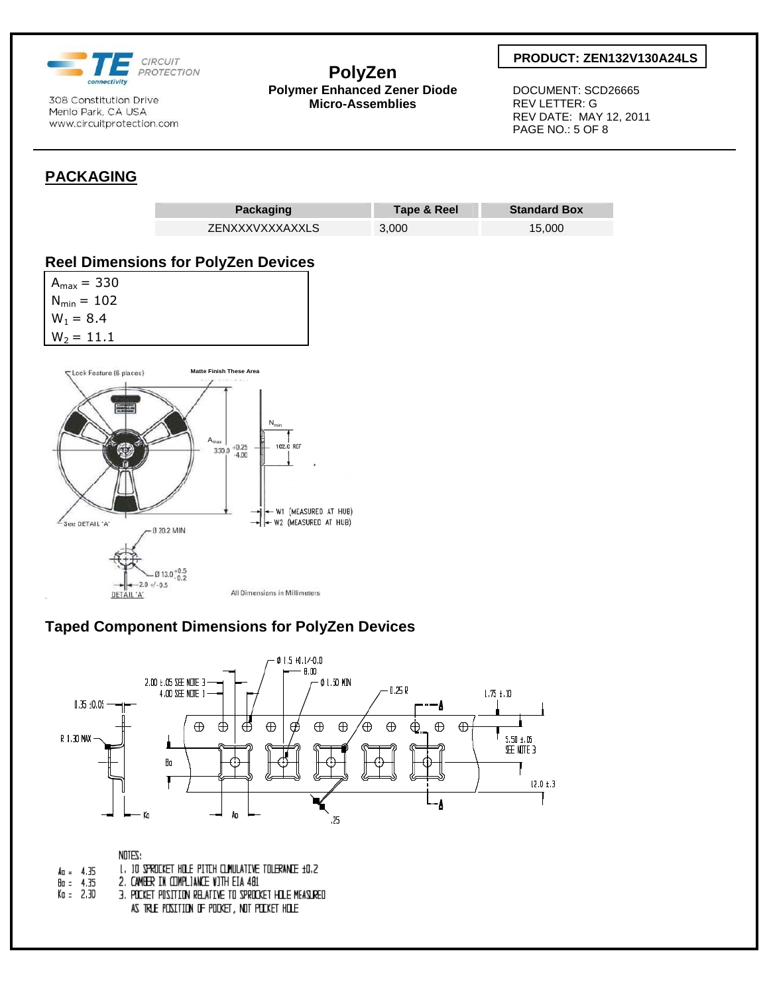

### **PolyZen Polymer Enhanced Zener Diode Micro-Assemblies**

### **PRODUCT: ZEN132V130A24LS**

 DOCUMENT: SCD26665 REV LETTER: G REV DATE: MAY 12, 2011 PAGE NO.: 5 OF 8

## **PACKAGING**



## **Taped Component Dimensions for PolyZen Devices**



|             | NDTES:                                                 |
|-------------|--------------------------------------------------------|
| (u. 4.35    | 1, 10 SPROCKET HOLE PITCH CLINULATIVE TOLERANCE 10.2   |
| 9n = 4.35   | 2. CAMBER IN COMPLIANCE WITH EIA 481                   |
| (a = 2.30 - | 3. POCKET POSITION RELATIVE TO SPROCKET HILE MEASLRED. |
|             | AS TRLE POSITION OF POCKET, NOT POCKET HOLE            |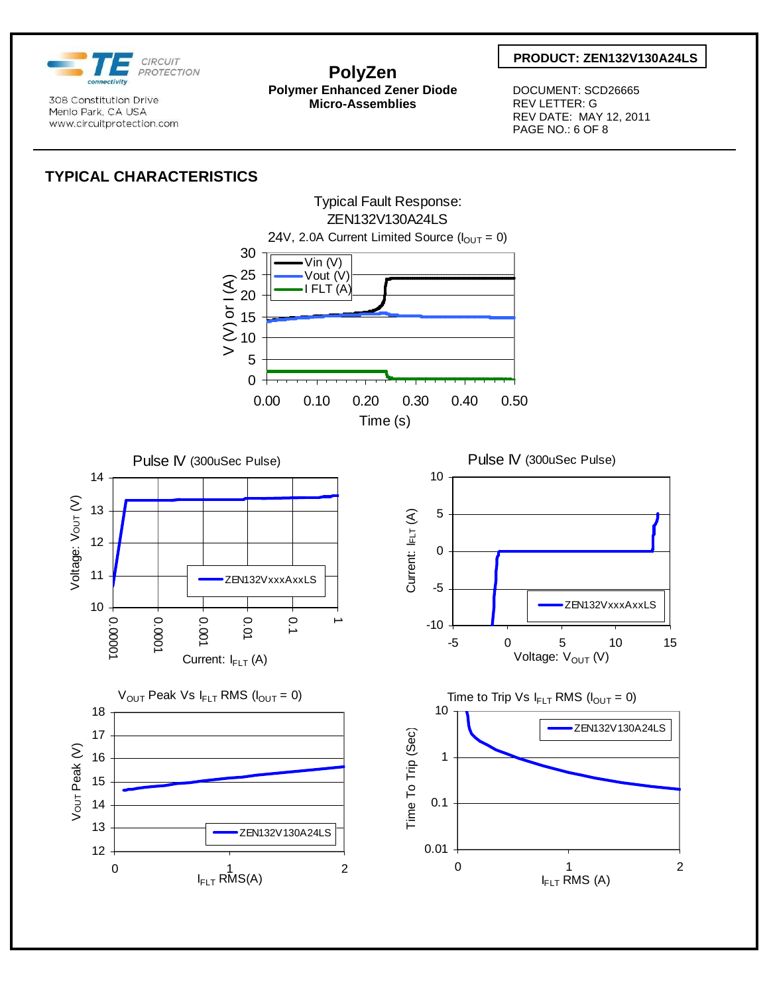

### **PolyZen Polymer Enhanced Zener Diode Micro-Assemblies**

### **PRODUCT: ZEN132V130A24LS**

 DOCUMENT: SCD26665 REV LETTER: G REV DATE: MAY 12, 2011 PAGE NO.: 6 OF 8

## **TYPICAL CHARACTERISTICS**

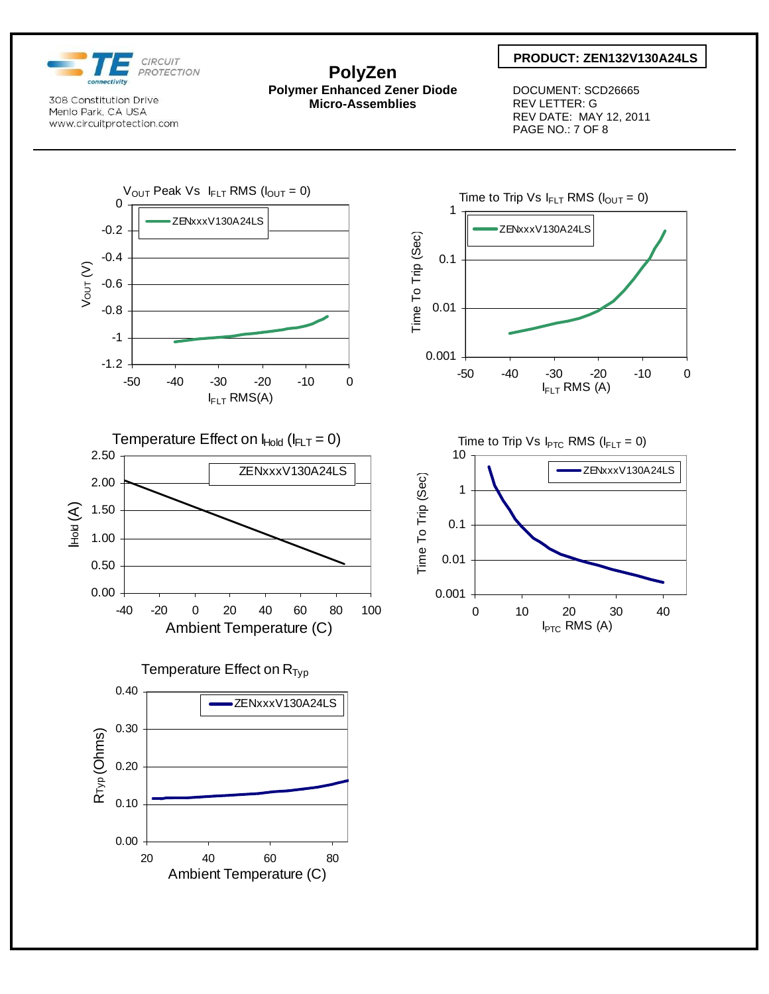

### **PolyZen Polymer Enhanced Zener Diode Micro-Assemblies**

### **PRODUCT: ZEN132V130A24LS**

 DOCUMENT: SCD26665 REV LETTER: G REV DATE: MAY 12, 2011 PAGE NO.: 7 OF 8